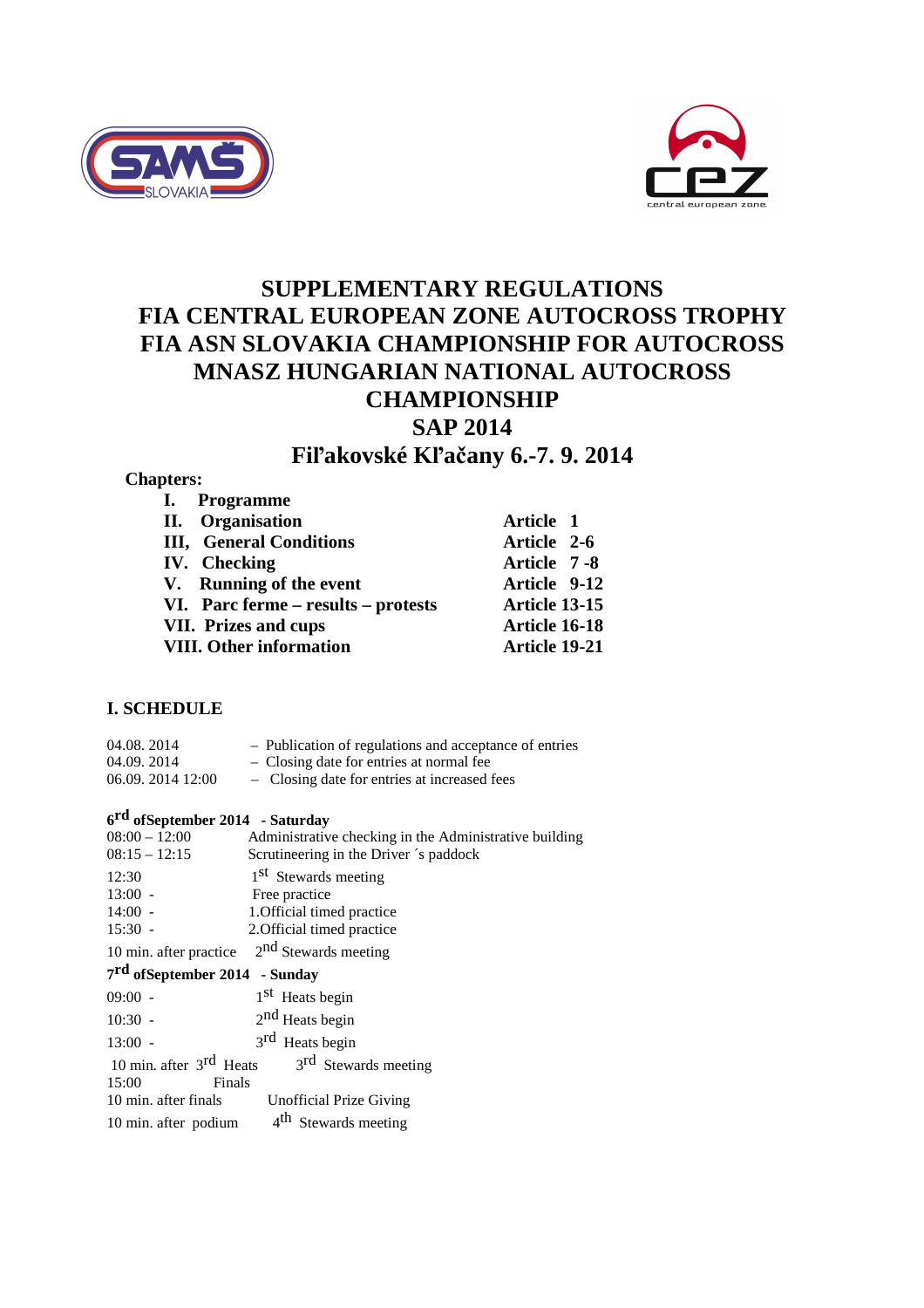



# **SUPPLEMENTARY REGULATIONS FIA CENTRAL EUROPEAN ZONE AUTOCROSS TROPHY FIA ASN SLOVAKIA CHAMPIONSHIP FOR AUTOCROSS MNASZ HUNGARIAN NATIONAL AUTOCROSS CHAMPIONSHIP SAP 2014**

# **Fiľakovské Kľačany 6.-7. 9. 2014**

# **Chapters:**

| I. Programme                        |               |
|-------------------------------------|---------------|
| II. Organisation                    | Article 1     |
| <b>III, General Conditions</b>      | Article 2-6   |
| <b>IV.</b> Checking                 | Article 7-8   |
| V. Running of the event             | Article 9-12  |
| VI. Parc ferme – results – protests | Article 13-15 |
| <b>VII. Prizes and cups</b>         | Article 16-18 |
| <b>VIII. Other information</b>      | Article 19-21 |

# **I. SCHEDULE**

| 04.08.2014        | - Publication of regulations and acceptance of entries |
|-------------------|--------------------------------------------------------|
| 04.09.2014        | - Closing date for entries at normal fee               |
| 06.09. 2014 12:00 | - Closing date for entries at increased fees           |

# **6 rd ofSeptember 2014 - Saturday**

| $08:00 - 12:00$                           | Administrative checking in the Administrative building               |  |  |
|-------------------------------------------|----------------------------------------------------------------------|--|--|
| $08:15 - 12:15$                           | Scrutineering in the Driver 's paddock                               |  |  |
| 12:30                                     | 1 <sup>st</sup> Stewards meeting                                     |  |  |
| $13:00 -$                                 | Free practice                                                        |  |  |
| $14:00 -$                                 | 1. Official timed practice                                           |  |  |
| $15:30 -$                                 | 2. Official timed practice                                           |  |  |
| 10 min. after practice                    | $2nd$ Stewards meeting                                               |  |  |
| 7 <sup>rd</sup> ofSeptember 2014 - Sunday |                                                                      |  |  |
| $09:00 -$                                 | 1 <sup>st</sup> Heats begin                                          |  |  |
| $10:30 -$                                 | $2nd$ Heats begin                                                    |  |  |
| $13:00 -$                                 | 3 <sup>rd</sup> Heats begin                                          |  |  |
|                                           | 10 min. after $3^{\text{rd}}$ Heats $3^{\text{rd}}$ Stewards meeting |  |  |
| 15:00<br>Finals                           |                                                                      |  |  |
| 10 min. after finals                      | <b>Unofficial Prize Giving</b>                                       |  |  |
| 10 min. after podium                      | 4 <sup>th</sup> Stewards meeting                                     |  |  |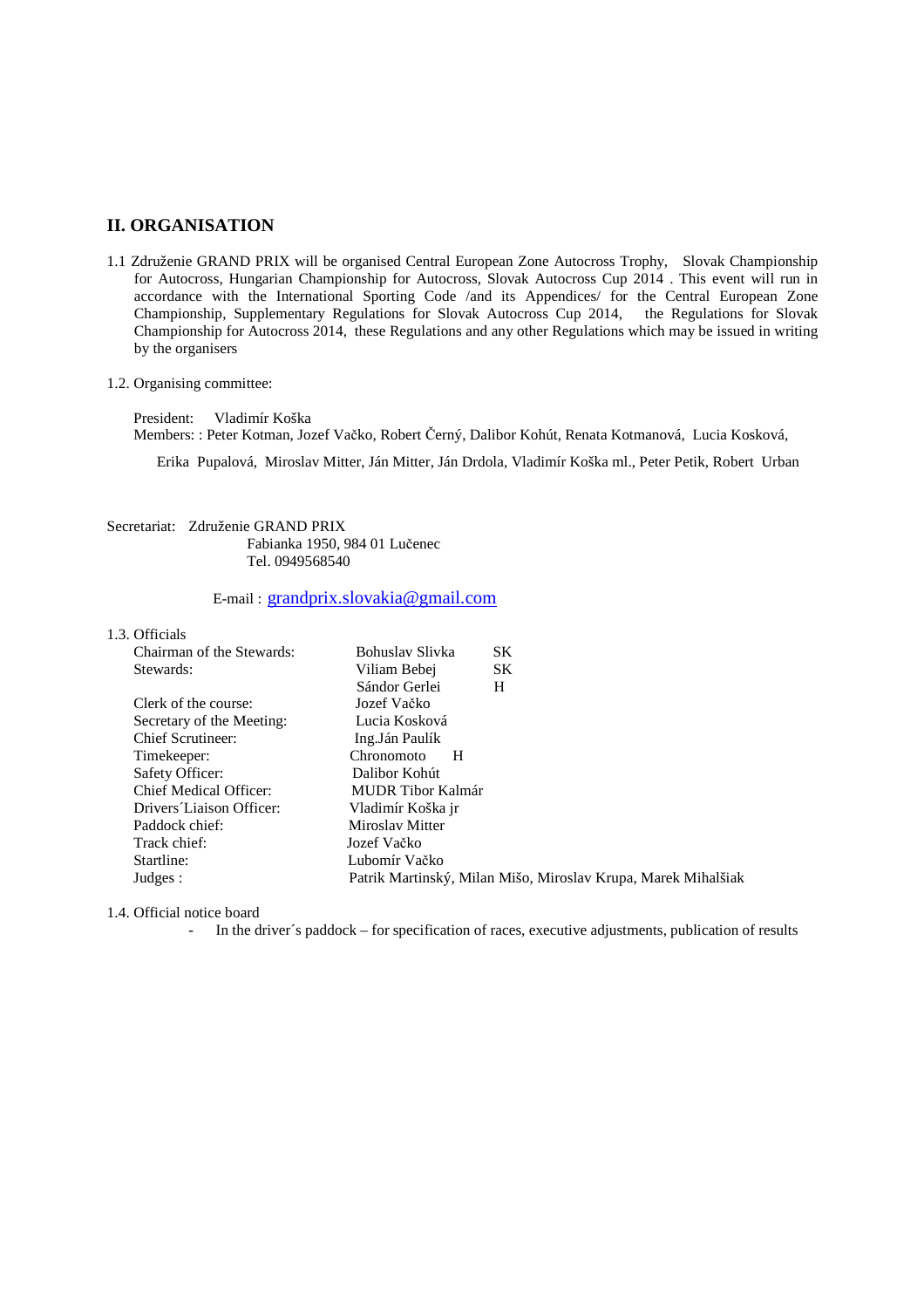### **II. ORGANISATION**

- 1.1 Združenie GRAND PRIX will be organised Central European Zone Autocross Trophy, Slovak Championship for Autocross, Hungarian Championship for Autocross, Slovak Autocross Cup 2014 . This event will run in accordance with the International Sporting Code /and its Appendices/ for the Central European Zone Championship, Supplementary Regulations for Slovak Autocross Cup 2014, the Regulations for Slovak Championship for Autocross 2014, these Regulations and any other Regulations which may be issued in writing by the organisers
- 1.2. Organising committee:

 President: Vladimír Koška Members: : Peter Kotman, Jozef Vačko, Robert Černý, Dalibor Kohút, Renata Kotmanová, Lucia Kosková,

Erika Pupalová, Miroslav Mitter, Ján Mitter, Ján Drdola, Vladimír Koška ml., Peter Petik, Robert Urban

#### Secretariat: Združenie GRAND PRIX Fabianka 1950, 984 01 Lučenec Tel. 0949568540

## E-mail : grandprix.slovakia@gmail.com

| 1.3. Officials |                           |                   |   |                                                               |  |
|----------------|---------------------------|-------------------|---|---------------------------------------------------------------|--|
|                | Chairman of the Stewards: | Bohuslav Slivka   |   | <b>SK</b>                                                     |  |
|                | Stewards:                 | Viliam Bebej      |   | <b>SK</b>                                                     |  |
|                |                           | Sándor Gerlei     |   | H                                                             |  |
|                | Clerk of the course:      | Jozef Vačko       |   |                                                               |  |
|                | Secretary of the Meeting: | Lucia Kosková     |   |                                                               |  |
|                | <b>Chief Scrutineer:</b>  | Ing.Ján Paulík    |   |                                                               |  |
|                | Timekeeper:               | Chronomoto        | H |                                                               |  |
|                | Safety Officer:           | Dalibor Kohút     |   |                                                               |  |
|                | Chief Medical Officer:    | MUDR Tibor Kalmár |   |                                                               |  |
|                | Drivers Liaison Officer:  | Vladimír Koška jr |   |                                                               |  |
|                | Paddock chief:            | Miroslay Mitter   |   |                                                               |  |
|                | Track chief:              | Jozef Vačko       |   |                                                               |  |
|                | Startline:                | Lubomír Vačko     |   |                                                               |  |
|                | Judges:                   |                   |   | Patrik Martinský, Milan Mišo, Miroslav Krupa, Marek Mihalšiak |  |

1.4. Official notice board

- In the driver's paddock – for specification of races, executive adjustments, publication of results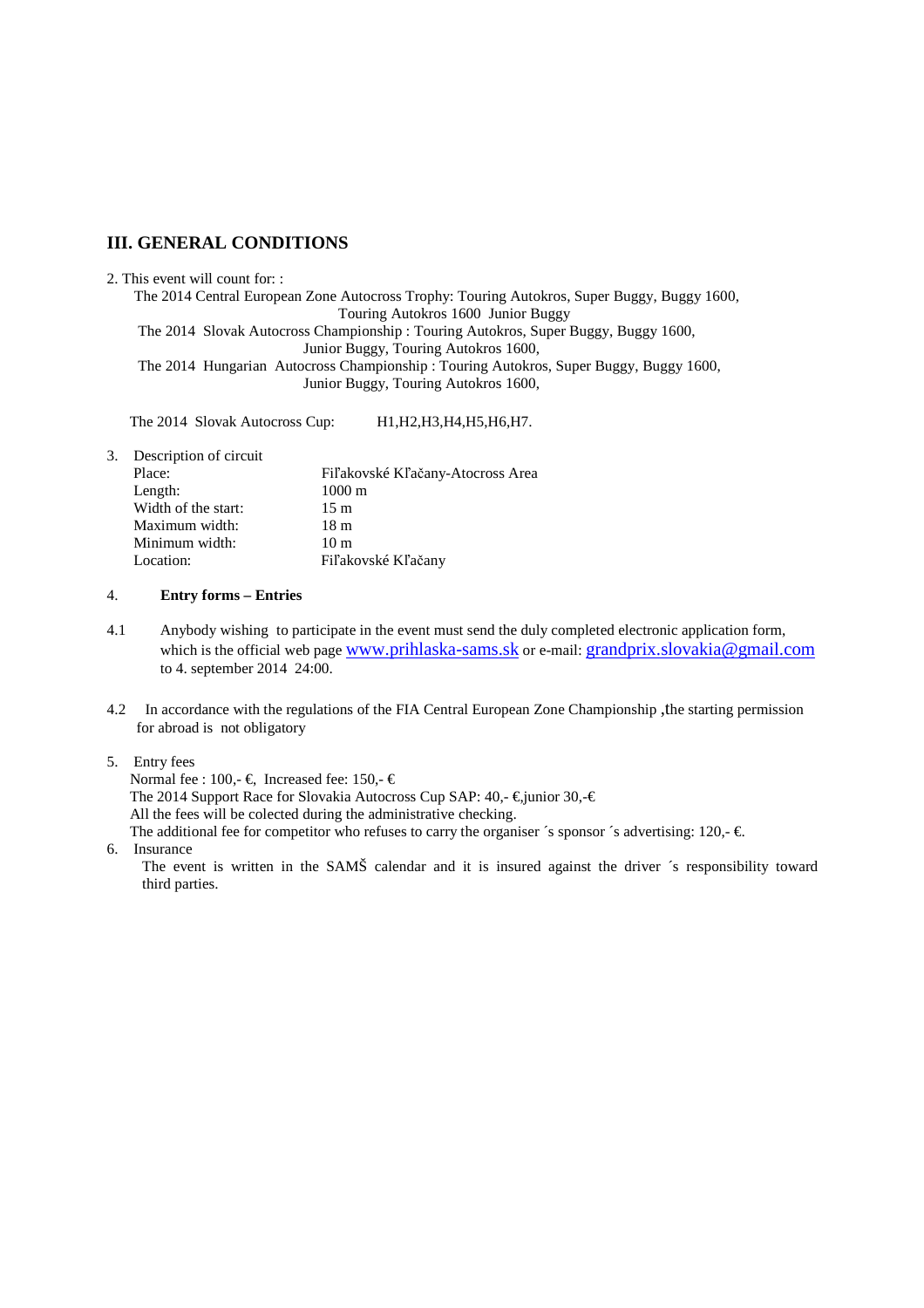## **III. GENERAL CONDITIONS**

#### 2. This event will count for: :

The 2014 Central European Zone Autocross Trophy: Touring Autokros, Super Buggy, Buggy 1600, Touring Autokros 1600 Junior Buggy The 2014 Slovak Autocross Championship : Touring Autokros, Super Buggy, Buggy 1600, Junior Buggy, Touring Autokros 1600, The 2014 Hungarian Autocross Championship : Touring Autokros, Super Buggy, Buggy 1600, Junior Buggy, Touring Autokros 1600,

The 2014 Slovak Autocross Cup: H1, H2, H3, H4, H5, H6, H7.

3. Description of circuit

| Place:              | Fiľakovské Kľačany-Atocross Area |  |  |
|---------------------|----------------------------------|--|--|
| Length:             | $1000 \text{ m}$                 |  |  |
| Width of the start: | 15 <sub>m</sub>                  |  |  |
| Maximum width:      | 18 m                             |  |  |
| Minimum width:      | 10 <sub>m</sub>                  |  |  |
| Location:           | Fiľakovské Kľačany               |  |  |
|                     |                                  |  |  |

#### 4. **Entry forms – Entries**

- 4.1 Anybody wishing to participate in the event must send the duly completed electronic application form, which is the official web page www.prihlaska-sams.sk or e-mail: grandprix.slovakia@gmail.com to 4. september 2014 24:00.
- 4.2 In accordance with the regulations of the FIA Central European Zone Championship ,the starting permission for abroad is not obligatory
- 5. Entry fees

Normal fee : 100,-  $\in$ , Increased fee: 150,-  $\in$ The 2014 Support Race for Slovakia Autocross Cup SAP:  $40, -\epsilon$ , junior 30, $-\epsilon$  All the fees will be colected during the administrative checking. The additional fee for competitor who refuses to carry the organiser  $\zeta$  sponsor  $\zeta$  advertising: 120,-  $\epsilon$ .

6. Insurance

The event is written in the SAMŠ calendar and it is insured against the driver ´s responsibility toward third parties.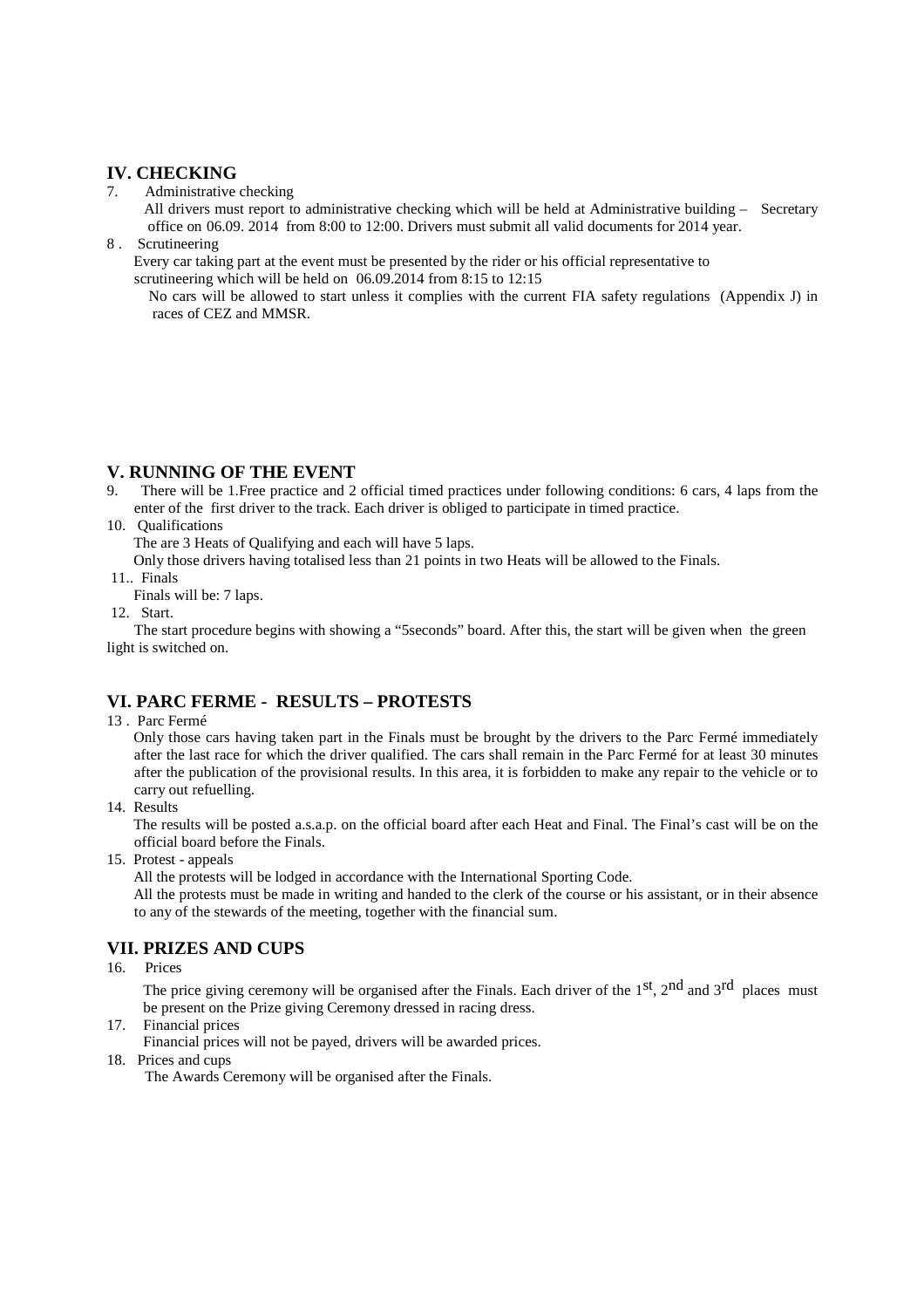## **IV. CHECKING**

7. Administrative checking

 All drivers must report to administrative checking which will be held at Administrative building – Secretary office on 06.09. 2014 from 8:00 to 12:00. Drivers must submit all valid documents for 2014 year.

8 . Scrutineering

 Every car taking part at the event must be presented by the rider or his official representative to scrutineering which will be held on 06.09.2014 from 8:15 to 12:15

 No cars will be allowed to start unless it complies with the current FIA safety regulations (Appendix J) in races of CEZ and MMSR.

## **V. RUNNING OF THE EVENT**

9. There will be 1.Free practice and 2 official timed practices under following conditions: 6 cars, 4 laps from the enter of the first driver to the track. Each driver is obliged to participate in timed practice.

#### 10. Qualifications

The are 3 Heats of Qualifying and each will have 5 laps.

Only those drivers having totalised less than 21 points in two Heats will be allowed to the Finals.

- 11.. Finals
- Finals will be: 7 laps.
- 12. Start.

 The start procedure begins with showing a "5seconds" board. After this, the start will be given when the green light is switched on.

# **VI. PARC FERME - RESULTS – PROTESTS**

13 . Parc Fermé

 Only those cars having taken part in the Finals must be brought by the drivers to the Parc Fermé immediately after the last race for which the driver qualified. The cars shall remain in the Parc Fermé for at least 30 minutes after the publication of the provisional results. In this area, it is forbidden to make any repair to the vehicle or to carry out refuelling.

14. Results

 The results will be posted a.s.a.p. on the official board after each Heat and Final. The Final's cast will be on the official board before the Finals.

15. Protest - appeals

All the protests will be lodged in accordance with the International Sporting Code.

 All the protests must be made in writing and handed to the clerk of the course or his assistant, or in their absence to any of the stewards of the meeting, together with the financial sum.

# **VII. PRIZES AND CUPS**

16. Prices

The price giving ceremony will be organised after the Finals. Each driver of the 1<sup>st</sup>, 2<sup>nd</sup> and 3<sup>rd</sup> places must be present on the Prize giving Ceremony dressed in racing dress.

17. Financial prices

Financial prices will not be payed, drivers will be awarded prices.

18. Prices and cups

The Awards Ceremony will be organised after the Finals.